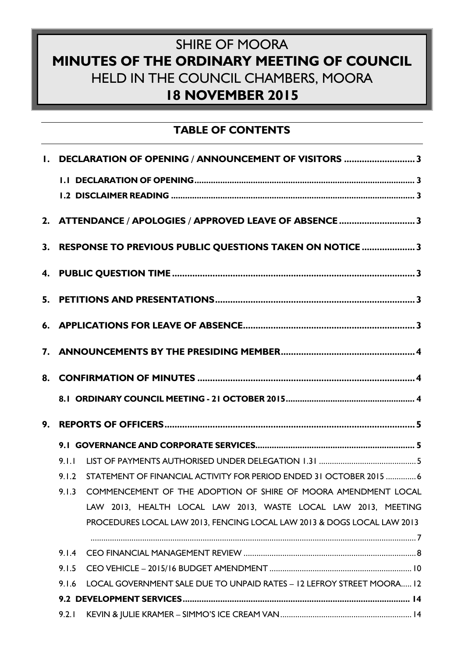# SHIRE OF MOORA **MINUTES OF THE ORDINARY MEETING OF COUNCIL** HELD IN THE COUNCIL CHAMBERS, MOORA **18 NOVEMBER 2015**

# **TABLE OF CONTENTS**

| I. DECLARATION OF OPENING / ANNOUNCEMENT OF VISITORS 3                         |  |  |  |
|--------------------------------------------------------------------------------|--|--|--|
|                                                                                |  |  |  |
|                                                                                |  |  |  |
| 2. ATTENDANCE / APOLOGIES / APPROVED LEAVE OF ABSENCE 3                        |  |  |  |
| 3. RESPONSE TO PREVIOUS PUBLIC QUESTIONS TAKEN ON NOTICE 3                     |  |  |  |
|                                                                                |  |  |  |
|                                                                                |  |  |  |
|                                                                                |  |  |  |
|                                                                                |  |  |  |
|                                                                                |  |  |  |
|                                                                                |  |  |  |
|                                                                                |  |  |  |
|                                                                                |  |  |  |
| 9.1.1                                                                          |  |  |  |
| STATEMENT OF FINANCIAL ACTIVITY FOR PERIOD ENDED 31 OCTOBER 2015  6<br>9.1.2   |  |  |  |
| COMMENCEMENT OF THE ADOPTION OF SHIRE OF MOORA AMENDMENT LOCAL<br>9.1.3        |  |  |  |
| LAW 2013, HEALTH LOCAL LAW 2013, WASTE LOCAL LAW 2013, MEETING                 |  |  |  |
| PROCEDURES LOCAL LAW 2013, FENCING LOCAL LAW 2013 & DOGS LOCAL LAW 2013        |  |  |  |
|                                                                                |  |  |  |
| 9.1.4                                                                          |  |  |  |
| 9.1.5                                                                          |  |  |  |
| LOCAL GOVERNMENT SALE DUE TO UNPAID RATES - 12 LEFROY STREET MOORA 12<br>9.1.6 |  |  |  |
|                                                                                |  |  |  |
| 9.2.1                                                                          |  |  |  |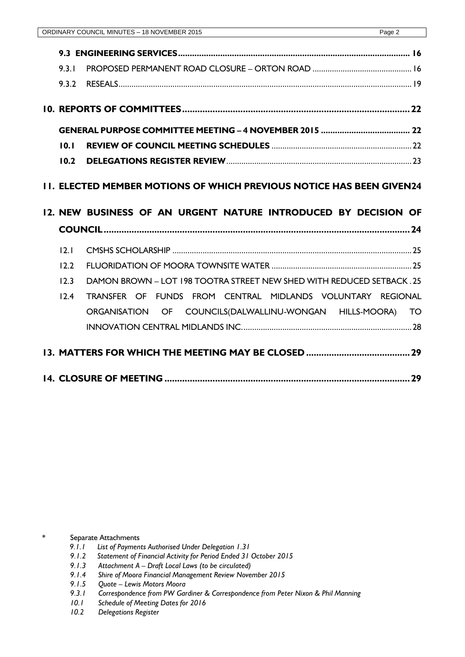| 9.3.1 |                                                                                                                                        |  |  |  |  |
|-------|----------------------------------------------------------------------------------------------------------------------------------------|--|--|--|--|
|       |                                                                                                                                        |  |  |  |  |
|       |                                                                                                                                        |  |  |  |  |
|       |                                                                                                                                        |  |  |  |  |
| 10.1  |                                                                                                                                        |  |  |  |  |
| 10.2  |                                                                                                                                        |  |  |  |  |
|       | 11. ELECTED MEMBER MOTIONS OF WHICH PREVIOUS NOTICE HAS BEEN GIVEN24<br>12. NEW BUSINESS OF AN URGENT NATURE INTRODUCED BY DECISION OF |  |  |  |  |
| 12.1  |                                                                                                                                        |  |  |  |  |
| 12.2  |                                                                                                                                        |  |  |  |  |
| 12.3  | DAMON BROWN - LOT 198 TOOTRA STREET NEW SHED WITH REDUCED SETBACK. 25                                                                  |  |  |  |  |
| 12.4  | TRANSFER OF FUNDS FROM CENTRAL MIDLANDS VOLUNTARY REGIONAL                                                                             |  |  |  |  |
|       | ORGANISATION OF COUNCILS(DALWALLINU-WONGAN HILLS-MOORA) TO                                                                             |  |  |  |  |
|       |                                                                                                                                        |  |  |  |  |
|       |                                                                                                                                        |  |  |  |  |

Separate Attachments

- *9.1.1 List of Payments Authorised Under Delegation 1.31*
- *9.1.2 Statement of Financial Activity for Period Ended 31 October 2015*
- *9.1.3 Attachment A – Draft Local Laws (to be circulated)*
- *9.1.4 Shire of Moora Financial Management Review November 2015*
- *9.1.5 Quote – Lewis Motors Moora*
- *9.3.1 Correspondence from PW Gardiner & Correspondence from Peter Nixon & Phil Manning*
- *10.1 Schedule of Meeting Dates for 2016*
- *10.2 Delegations Register*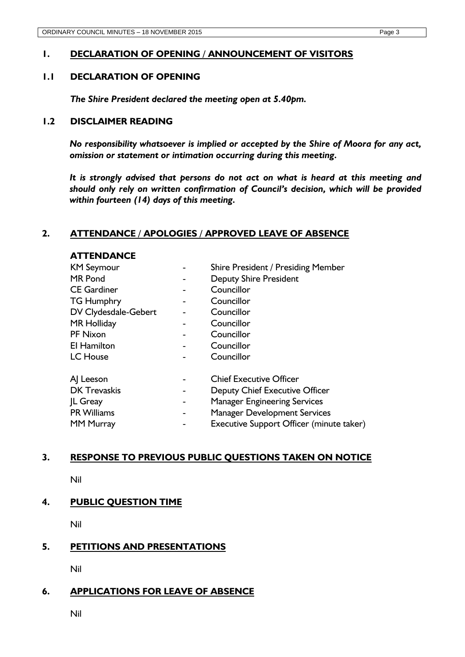# <span id="page-2-0"></span>**1. DECLARATION OF OPENING / ANNOUNCEMENT OF VISITORS**

## <span id="page-2-1"></span>**1.1 DECLARATION OF OPENING**

*The Shire President declared the meeting open at 5.40pm.* 

### <span id="page-2-2"></span>**1.2 DISCLAIMER READING**

*No responsibility whatsoever is implied or accepted by the Shire of Moora for any act, omission or statement or intimation occurring during this meeting.* 

*It is strongly advised that persons do not act on what is heard at this meeting and should only rely on written confirmation of Council's decision, which will be provided within fourteen (14) days of this meeting.*

## <span id="page-2-3"></span>**2. ATTENDANCE / APOLOGIES / APPROVED LEAVE OF ABSENCE**

| <b>ATTENDANCE</b>    |                |                                          |
|----------------------|----------------|------------------------------------------|
| <b>KM Seymour</b>    |                | Shire President / Presiding Member       |
| MR Pond              |                | <b>Deputy Shire President</b>            |
| <b>CE Gardiner</b>   |                | Councillor                               |
| <b>TG Humphry</b>    |                | Councillor                               |
| DV Clydesdale-Gebert |                | Councillor                               |
| <b>MR Holliday</b>   |                | Councillor                               |
| <b>PF Nixon</b>      |                | Councillor                               |
| El Hamilton          |                | Councillor                               |
| <b>LC</b> House      |                | Councillor                               |
| A Leeson             |                | <b>Chief Executive Officer</b>           |
| <b>DK Trevaskis</b>  | $\blacksquare$ | Deputy Chief Executive Officer           |
| JL Greay             | -              | <b>Manager Engineering Services</b>      |
| <b>PR Williams</b>   | -              | <b>Manager Development Services</b>      |
| <b>MM Murray</b>     |                | Executive Support Officer (minute taker) |

## <span id="page-2-4"></span>**3. RESPONSE TO PREVIOUS PUBLIC QUESTIONS TAKEN ON NOTICE**

Nil

# <span id="page-2-5"></span>**4. PUBLIC QUESTION TIME**

Nil

# <span id="page-2-6"></span>**5. PETITIONS AND PRESENTATIONS**

Nil

# <span id="page-2-7"></span>**6. APPLICATIONS FOR LEAVE OF ABSENCE**

Nil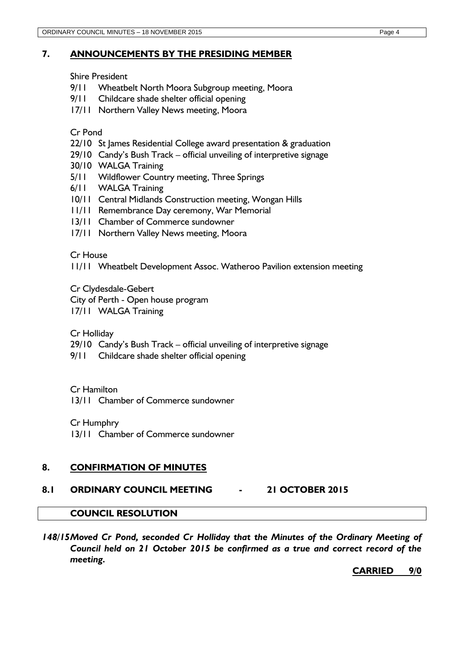### <span id="page-3-0"></span>**7. ANNOUNCEMENTS BY THE PRESIDING MEMBER**

Shire President

- 9/11 Wheatbelt North Moora Subgroup meeting, Moora
- 9/11 Childcare shade shelter official opening
- 17/11 Northern Valley News meeting, Moora

Cr Pond

- 22/10 St James Residential College award presentation & graduation
- 29/10 Candy's Bush Track official unveiling of interpretive signage
- 30/10 WALGA Training
- 5/11 Wildflower Country meeting, Three Springs
- 6/11 WALGA Training
- 10/11 Central Midlands Construction meeting, Wongan Hills
- 11/11 Remembrance Day ceremony, War Memorial
- 13/11 Chamber of Commerce sundowner
- 17/11 Northern Valley News meeting, Moora

### Cr House

11/11 Wheatbelt Development Assoc. Watheroo Pavilion extension meeting

Cr Clydesdale-Gebert

City of Perth - Open house program

17/11 WALGA Training

Cr Holliday

- 29/10 Candy's Bush Track official unveiling of interpretive signage
- 9/11 Childcare shade shelter official opening

Cr Hamilton

13/11 Chamber of Commerce sundowner

Cr Humphry

13/11 Chamber of Commerce sundowner

## <span id="page-3-1"></span>**8. CONFIRMATION OF MINUTES**

# <span id="page-3-2"></span>**8.1 ORDINARY COUNCIL MEETING - 21 OCTOBER 2015**

# **COUNCIL RESOLUTION**

*148/15Moved Cr Pond, seconded Cr Holliday that the Minutes of the Ordinary Meeting of Council held on 21 October 2015 be confirmed as a true and correct record of the meeting.*

**CARRIED 9/0**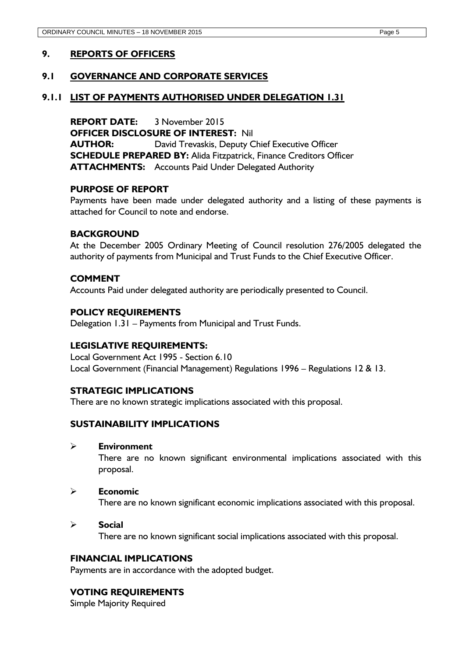### <span id="page-4-1"></span><span id="page-4-0"></span>**9.1 GOVERNANCE AND CORPORATE SERVICES**

#### <span id="page-4-2"></span>**9.1.1 LIST OF PAYMENTS AUTHORISED UNDER DELEGATION 1.31**

**REPORT DATE:** 3 November 2015 **OFFICER DISCLOSURE OF INTEREST:** Nil **AUTHOR:** David Trevaskis, Deputy Chief Executive Officer **SCHEDULE PREPARED BY:** Alida Fitzpatrick, Finance Creditors Officer **ATTACHMENTS:** Accounts Paid Under Delegated Authority

#### **PURPOSE OF REPORT**

Payments have been made under delegated authority and a listing of these payments is attached for Council to note and endorse.

#### **BACKGROUND**

At the December 2005 Ordinary Meeting of Council resolution 276/2005 delegated the authority of payments from Municipal and Trust Funds to the Chief Executive Officer.

### **COMMENT**

Accounts Paid under delegated authority are periodically presented to Council.

#### **POLICY REQUIREMENTS**

Delegation 1.31 – Payments from Municipal and Trust Funds.

#### **LEGISLATIVE REQUIREMENTS:**

Local Government Act 1995 - Section 6.10 Local Government (Financial Management) Regulations 1996 – Regulations 12 & 13.

#### **STRATEGIC IMPLICATIONS**

There are no known strategic implications associated with this proposal.

#### **SUSTAINABILITY IMPLICATIONS**

**Environment**

There are no known significant environmental implications associated with this proposal.

#### **Economic**

There are no known significant economic implications associated with this proposal.

#### **Social**

There are no known significant social implications associated with this proposal.

#### **FINANCIAL IMPLICATIONS**

Payments are in accordance with the adopted budget.

### **VOTING REQUIREMENTS**

Simple Majority Required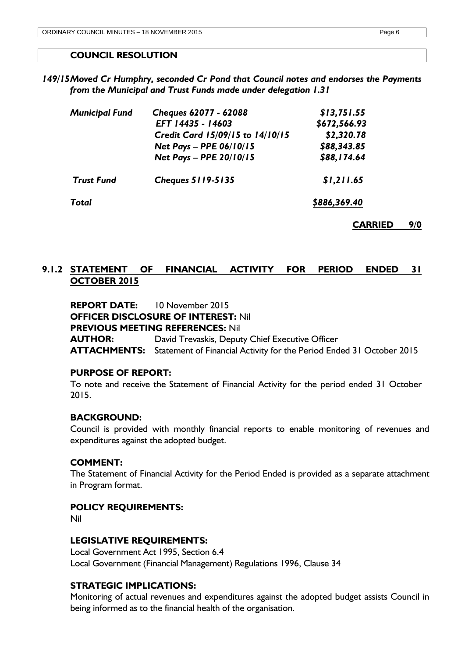# **COUNCIL RESOLUTION**

*149/15Moved Cr Humphry, seconded Cr Pond that Council notes and endorses the Payments from the Municipal and Trust Funds made under delegation 1.31*

| <b>Municipal Fund</b> | Cheques 62077 - 62088            | \$13,751.55  |  |
|-----------------------|----------------------------------|--------------|--|
|                       | EFT 14435 - 14603                | \$672,566.93 |  |
|                       | Credit Card 15/09/15 to 14/10/15 | \$2,320.78   |  |
|                       | Net Pays - PPE 06/10/15          | \$88,343.85  |  |
|                       | Net Pays - PPE 20/10/15          | \$88,174.64  |  |
| <b>Trust Fund</b>     | <b>Cheques 5119-5135</b>         | \$1,211.65   |  |
| Total                 |                                  | \$886,369.40 |  |

**CARRIED 9/0**

# <span id="page-5-0"></span>**9.1.2 STATEMENT OF FINANCIAL ACTIVITY FOR PERIOD ENDED 31 OCTOBER 2015**

**REPORT DATE:** 10 November 2015 **OFFICER DISCLOSURE OF INTEREST:** Nil **PREVIOUS MEETING REFERENCES:** Nil **AUTHOR:** David Trevaskis, Deputy Chief Executive Officer **ATTACHMENTS:** Statement of Financial Activity for the Period Ended 31 October 2015

### **PURPOSE OF REPORT:**

To note and receive the Statement of Financial Activity for the period ended 31 October 2015.

### **BACKGROUND:**

Council is provided with monthly financial reports to enable monitoring of revenues and expenditures against the adopted budget.

#### **COMMENT:**

The Statement of Financial Activity for the Period Ended is provided as a separate attachment in Program format.

#### **POLICY REQUIREMENTS:**

Nil

### **LEGISLATIVE REQUIREMENTS:**

Local Government Act 1995, Section 6.4 Local Government (Financial Management) Regulations 1996, Clause 34

### **STRATEGIC IMPLICATIONS:**

Monitoring of actual revenues and expenditures against the adopted budget assists Council in being informed as to the financial health of the organisation.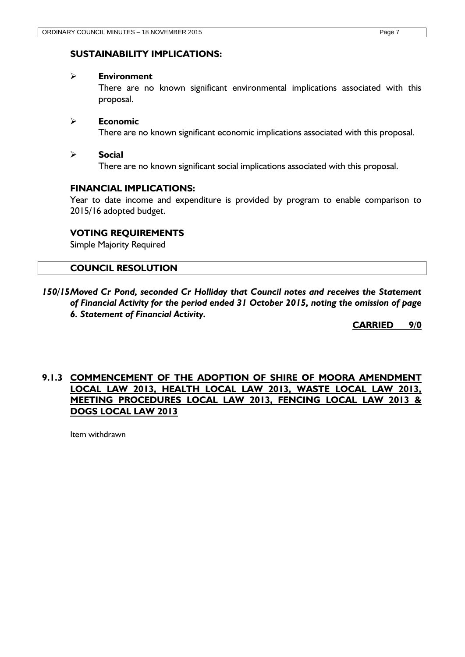### **SUSTAINABILITY IMPLICATIONS:**

#### **Environment**

There are no known significant environmental implications associated with this proposal.

### **Economic**

There are no known significant economic implications associated with this proposal.

### **Social**

There are no known significant social implications associated with this proposal.

### **FINANCIAL IMPLICATIONS:**

Year to date income and expenditure is provided by program to enable comparison to 2015/16 adopted budget.

### **VOTING REQUIREMENTS**

Simple Majority Required

### **COUNCIL RESOLUTION**

*150/15Moved Cr Pond, seconded Cr Holliday that Council notes and receives the Statement of Financial Activity for the period ended 31 October 2015, noting the omission of page 6. Statement of Financial Activity.*

**CARRIED 9/0**

# <span id="page-6-0"></span>**9.1.3 COMMENCEMENT OF THE ADOPTION OF SHIRE OF MOORA AMENDMENT LOCAL LAW 2013, HEALTH LOCAL LAW 2013, WASTE LOCAL LAW 2013, MEETING PROCEDURES LOCAL LAW 2013, FENCING LOCAL LAW 2013 & DOGS LOCAL LAW 2013**

Item withdrawn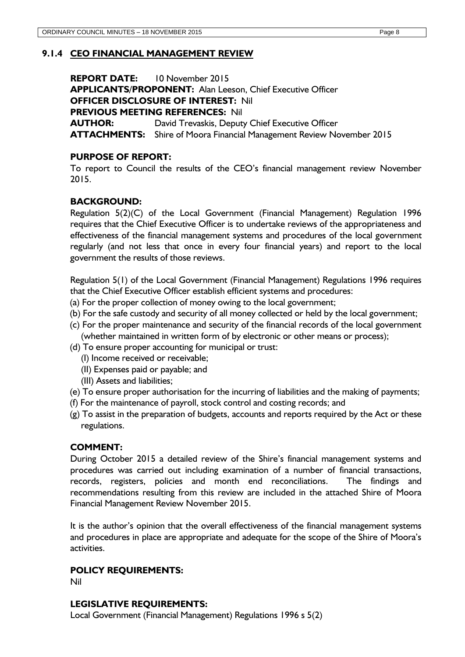### <span id="page-7-0"></span>**9.1.4 CEO FINANCIAL MANAGEMENT REVIEW**

**REPORT DATE:** 10 November 2015 **APPLICANTS/PROPONENT:** Alan Leeson, Chief Executive Officer **OFFICER DISCLOSURE OF INTEREST:** Nil **PREVIOUS MEETING REFERENCES:** Nil **AUTHOR:** David Trevaskis, Deputy Chief Executive Officer **ATTACHMENTS:** Shire of Moora Financial Management Review November 2015

### **PURPOSE OF REPORT:**

To report to Council the results of the CEO's financial management review November 2015.

## **BACKGROUND:**

Regulation 5(2)(C) of the Local Government (Financial Management) Regulation 1996 requires that the Chief Executive Officer is to undertake reviews of the appropriateness and effectiveness of the financial management systems and procedures of the local government regularly (and not less that once in every four financial years) and report to the local government the results of those reviews.

Regulation 5(1) of the Local Government (Financial Management) Regulations 1996 requires that the Chief Executive Officer establish efficient systems and procedures:

- (a) For the proper collection of money owing to the local government;
- (b) For the safe custody and security of all money collected or held by the local government;
- (c) For the proper maintenance and security of the financial records of the local government (whether maintained in written form of by electronic or other means or process);
- (d) To ensure proper accounting for municipal or trust:
	- (I) Income received or receivable;
	- (II) Expenses paid or payable; and
	- (III) Assets and liabilities;
- (e) To ensure proper authorisation for the incurring of liabilities and the making of payments;
- (f) For the maintenance of payroll, stock control and costing records; and
- (g) To assist in the preparation of budgets, accounts and reports required by the Act or these regulations.

### **COMMENT:**

During October 2015 a detailed review of the Shire's financial management systems and procedures was carried out including examination of a number of financial transactions, records, registers, policies and month end reconciliations. The findings and recommendations resulting from this review are included in the attached Shire of Moora Financial Management Review November 2015.

It is the author's opinion that the overall effectiveness of the financial management systems and procedures in place are appropriate and adequate for the scope of the Shire of Moora's activities.

### **POLICY REQUIREMENTS:**

Nil

## **LEGISLATIVE REQUIREMENTS:**

Local Government (Financial Management) Regulations 1996 s 5(2)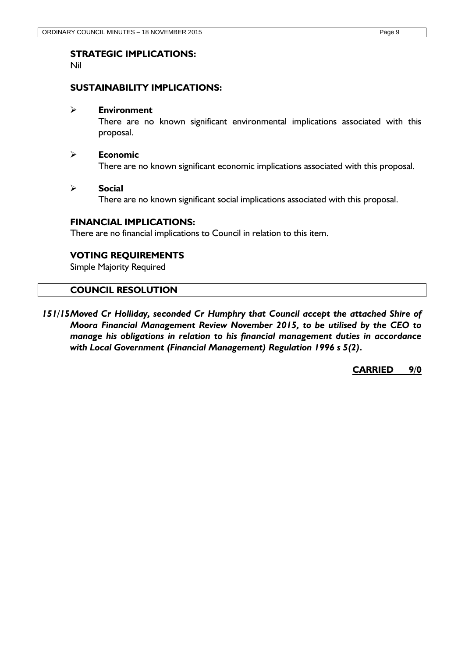# **STRATEGIC IMPLICATIONS:**

Nil

### **SUSTAINABILITY IMPLICATIONS:**

#### **Environment**

There are no known significant environmental implications associated with this proposal.

#### **Economic**

There are no known significant economic implications associated with this proposal.

#### **Social**

There are no known significant social implications associated with this proposal.

### **FINANCIAL IMPLICATIONS:**

There are no financial implications to Council in relation to this item.

### **VOTING REQUIREMENTS**

Simple Majority Required

### **COUNCIL RESOLUTION**

*151/15Moved Cr Holliday, seconded Cr Humphry that Council accept the attached Shire of Moora Financial Management Review November 2015, to be utilised by the CEO to manage his obligations in relation to his financial management duties in accordance with Local Government (Financial Management) Regulation 1996 s 5(2).* 

**CARRIED 9/0**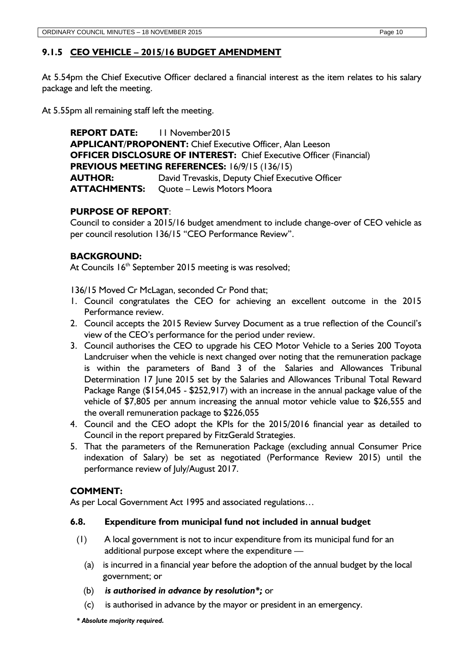# <span id="page-9-0"></span>**9.1.5 CEO VEHICLE – 2015/16 BUDGET AMENDMENT**

At 5.54pm the Chief Executive Officer declared a financial interest as the item relates to his salary package and left the meeting.

At 5.55pm all remaining staff left the meeting.

**REPORT DATE:** 11 November2015 **APPLICANT/PROPONENT:** Chief Executive Officer, Alan Leeson **OFFICER DISCLOSURE OF INTEREST:** Chief Executive Officer (Financial) **PREVIOUS MEETING REFERENCES:** 16/9/15 (136/15) **AUTHOR:** David Trevaskis, Deputy Chief Executive Officer **ATTACHMENTS:** Quote – Lewis Motors Moora

# **PURPOSE OF REPORT**:

Council to consider a 2015/16 budget amendment to include change-over of CEO vehicle as per council resolution 136/15 "CEO Performance Review".

# **BACKGROUND:**

At Councils 16<sup>th</sup> September 2015 meeting is was resolved;

136/15 Moved Cr McLagan, seconded Cr Pond that;

- 1. Council congratulates the CEO for achieving an excellent outcome in the 2015 Performance review.
- 2. Council accepts the 2015 Review Survey Document as a true reflection of the Council's view of the CEO's performance for the period under review.
- 3. Council authorises the CEO to upgrade his CEO Motor Vehicle to a Series 200 Toyota Landcruiser when the vehicle is next changed over noting that the remuneration package is within the parameters of Band 3 of the Salaries and Allowances Tribunal Determination 17 June 2015 set by the Salaries and Allowances Tribunal Total Reward Package Range (\$154,045 - \$252,917) with an increase in the annual package value of the vehicle of \$7,805 per annum increasing the annual motor vehicle value to \$26,555 and the overall remuneration package to \$226,055
- 4. Council and the CEO adopt the KPIs for the 2015/2016 financial year as detailed to Council in the report prepared by FitzGerald Strategies.
- 5. That the parameters of the Remuneration Package (excluding annual Consumer Price indexation of Salary) be set as negotiated (Performance Review 2015) until the performance review of July/August 2017.

# **COMMENT:**

As per Local Government Act 1995 and associated regulations…

## **6.8. Expenditure from municipal fund not included in annual budget**

- (1) A local government is not to incur expenditure from its municipal fund for an additional purpose except where the expenditure —
	- (a) is incurred in a financial year before the adoption of the annual budget by the local government; or
	- (b) *is authorised in advance by resolution\*;* or
	- (c) is authorised in advance by the mayor or president in an emergency.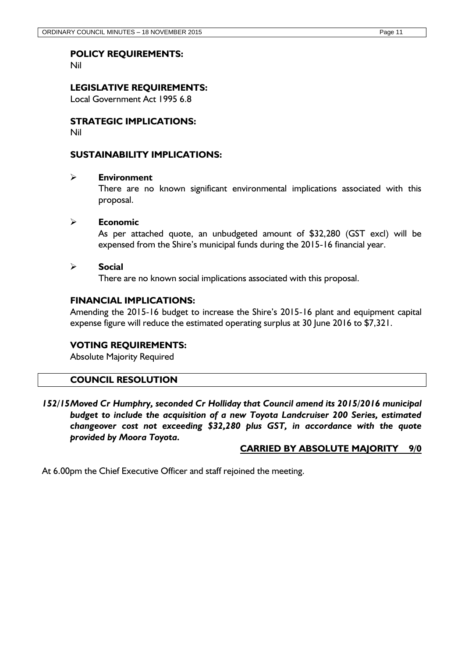### **POLICY REQUIREMENTS:**

Nil

### **LEGISLATIVE REQUIREMENTS:**

Local Government Act 1995 6.8

# **STRATEGIC IMPLICATIONS:**

Nil

### **SUSTAINABILITY IMPLICATIONS:**

#### **Environment**

There are no known significant environmental implications associated with this proposal.

#### **Economic**

As per attached quote, an unbudgeted amount of \$32,280 (GST excl) will be expensed from the Shire's municipal funds during the 2015-16 financial year.

#### **Social**

There are no known social implications associated with this proposal.

### **FINANCIAL IMPLICATIONS:**

Amending the 2015-16 budget to increase the Shire's 2015-16 plant and equipment capital expense figure will reduce the estimated operating surplus at 30 June 2016 to \$7,321.

### **VOTING REQUIREMENTS:**

Absolute Majority Required

#### **COUNCIL RESOLUTION**

*152/15Moved Cr Humphry, seconded Cr Holliday that Council amend its 2015/2016 municipal budget to include the acquisition of a new Toyota Landcruiser 200 Series, estimated changeover cost not exceeding \$32,280 plus GST, in accordance with the quote provided by Moora Toyota.*

### **CARRIED BY ABSOLUTE MAJORITY 9/0**

At 6.00pm the Chief Executive Officer and staff rejoined the meeting.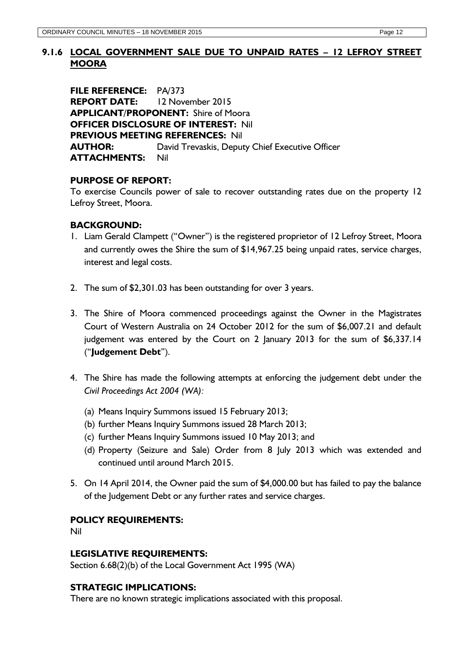# <span id="page-11-0"></span>**9.1.6 LOCAL GOVERNMENT SALE DUE TO UNPAID RATES – 12 LEFROY STREET MOORA**

**FILE REFERENCE:** PA/373 **REPORT DATE:** 12 November 2015 **APPLICANT/PROPONENT:** Shire of Moora **OFFICER DISCLOSURE OF INTEREST:** Nil **PREVIOUS MEETING REFERENCES:** Nil **AUTHOR:** David Trevaskis, Deputy Chief Executive Officer **ATTACHMENTS:** Nil

## **PURPOSE OF REPORT:**

To exercise Councils power of sale to recover outstanding rates due on the property 12 Lefroy Street, Moora.

### **BACKGROUND:**

- 1. Liam Gerald Clampett ("Owner") is the registered proprietor of 12 Lefroy Street, Moora and currently owes the Shire the sum of \$14,967.25 being unpaid rates, service charges, interest and legal costs.
- 2. The sum of \$2,301.03 has been outstanding for over 3 years.
- 3. The Shire of Moora commenced proceedings against the Owner in the Magistrates Court of Western Australia on 24 October 2012 for the sum of \$6,007.21 and default judgement was entered by the Court on 2 January 2013 for the sum of \$6,337.14 ("**Judgement Debt**").
- 4. The Shire has made the following attempts at enforcing the judgement debt under the *Civil Proceedings Act 2004 (WA):*
	- (a) Means Inquiry Summons issued 15 February 2013;
	- (b) further Means Inquiry Summons issued 28 March 2013;
	- (c) further Means Inquiry Summons issued 10 May 2013; and
	- (d) Property (Seizure and Sale) Order from 8 July 2013 which was extended and continued until around March 2015.
- 5. On 14 April 2014, the Owner paid the sum of \$4,000.00 but has failed to pay the balance of the Judgement Debt or any further rates and service charges.

### **POLICY REQUIREMENTS:**

Nil

### **LEGISLATIVE REQUIREMENTS:**

Section 6.68(2)(b) of the Local Government Act 1995 (WA)

### **STRATEGIC IMPLICATIONS:**

There are no known strategic implications associated with this proposal.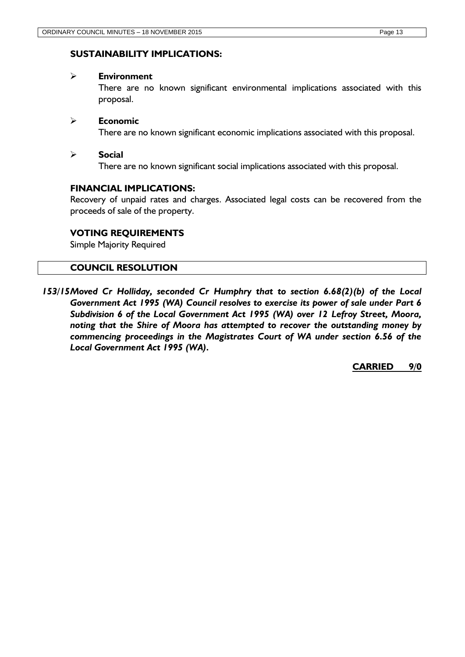### **SUSTAINABILITY IMPLICATIONS:**

#### **Environment**

There are no known significant environmental implications associated with this proposal.

### **Economic**

There are no known significant economic implications associated with this proposal.

### **Social**

There are no known significant social implications associated with this proposal.

### **FINANCIAL IMPLICATIONS:**

Recovery of unpaid rates and charges. Associated legal costs can be recovered from the proceeds of sale of the property.

### **VOTING REQUIREMENTS**

Simple Majority Required

### **COUNCIL RESOLUTION**

*153/15Moved Cr Holliday, seconded Cr Humphry that to section 6.68(2)(b) of the Local Government Act 1995 (WA) Council resolves to exercise its power of sale under Part 6 Subdivision 6 of the Local Government Act 1995 (WA) over 12 Lefroy Street, Moora, noting that the Shire of Moora has attempted to recover the outstanding money by commencing proceedings in the Magistrates Court of WA under section 6.56 of the Local Government Act 1995 (WA).*

**CARRIED 9/0**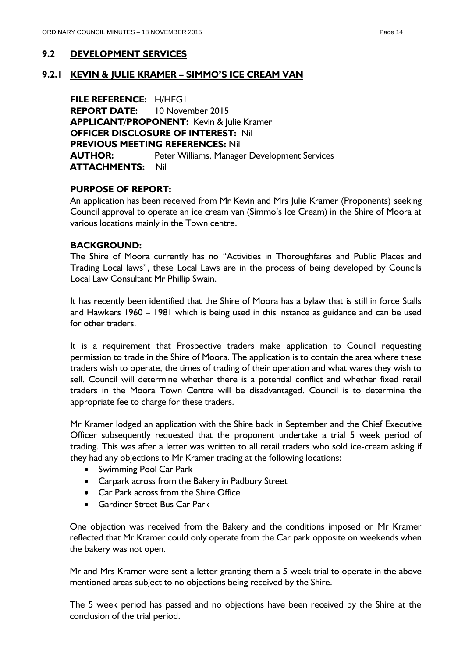### <span id="page-13-1"></span><span id="page-13-0"></span>**9.2 DEVELOPMENT SERVICES**

#### **9.2.1 KEVIN & JULIE KRAMER – SIMMO'S ICE CREAM VAN**

**FILE REFERENCE:** H/HEG1 **REPORT DATE:** 10 November 2015 **APPLICANT/PROPONENT:** Kevin & Julie Kramer **OFFICER DISCLOSURE OF INTEREST:** Nil **PREVIOUS MEETING REFERENCES:** Nil **AUTHOR:** Peter Williams, Manager Development Services **ATTACHMENTS:** Nil

#### **PURPOSE OF REPORT:**

An application has been received from Mr Kevin and Mrs Julie Kramer (Proponents) seeking Council approval to operate an ice cream van (Simmo's Ice Cream) in the Shire of Moora at various locations mainly in the Town centre.

#### **BACKGROUND:**

The Shire of Moora currently has no "Activities in Thoroughfares and Public Places and Trading Local laws", these Local Laws are in the process of being developed by Councils Local Law Consultant Mr Phillip Swain.

It has recently been identified that the Shire of Moora has a bylaw that is still in force Stalls and Hawkers 1960 – 1981 which is being used in this instance as guidance and can be used for other traders.

It is a requirement that Prospective traders make application to Council requesting permission to trade in the Shire of Moora. The application is to contain the area where these traders wish to operate, the times of trading of their operation and what wares they wish to sell. Council will determine whether there is a potential conflict and whether fixed retail traders in the Moora Town Centre will be disadvantaged. Council is to determine the appropriate fee to charge for these traders.

Mr Kramer lodged an application with the Shire back in September and the Chief Executive Officer subsequently requested that the proponent undertake a trial 5 week period of trading. This was after a letter was written to all retail traders who sold ice-cream asking if they had any objections to Mr Kramer trading at the following locations:

- Swimming Pool Car Park
- Carpark across from the Bakery in Padbury Street
- Car Park across from the Shire Office
- Gardiner Street Bus Car Park

One objection was received from the Bakery and the conditions imposed on Mr Kramer reflected that Mr Kramer could only operate from the Car park opposite on weekends when the bakery was not open.

Mr and Mrs Kramer were sent a letter granting them a 5 week trial to operate in the above mentioned areas subject to no objections being received by the Shire.

The 5 week period has passed and no objections have been received by the Shire at the conclusion of the trial period.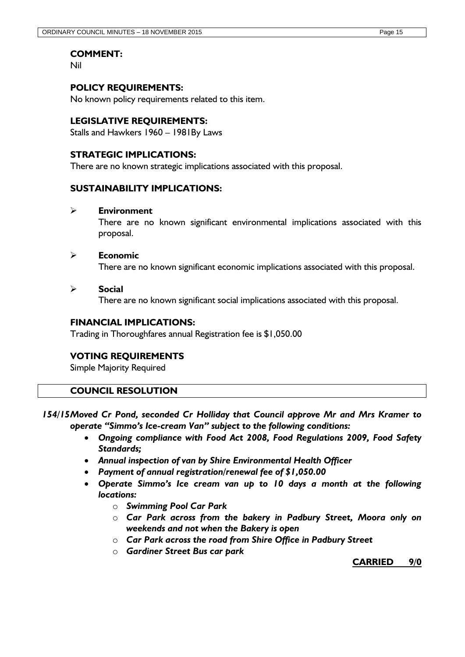### **COMMENT:**

Nil

### **POLICY REQUIREMENTS:**

No known policy requirements related to this item.

### **LEGISLATIVE REQUIREMENTS:**

Stalls and Hawkers 1960 – 1981By Laws

### **STRATEGIC IMPLICATIONS:**

There are no known strategic implications associated with this proposal.

### **SUSTAINABILITY IMPLICATIONS:**

#### **Environment**

There are no known significant environmental implications associated with this proposal.

#### **Economic**

There are no known significant economic implications associated with this proposal.

### **Social**

There are no known significant social implications associated with this proposal.

### **FINANCIAL IMPLICATIONS:**

Trading in Thoroughfares annual Registration fee is \$1,050.00

### **VOTING REQUIREMENTS**

Simple Majority Required

### **COUNCIL RESOLUTION**

- *154/15Moved Cr Pond, seconded Cr Holliday that Council approve Mr and Mrs Kramer to operate "Simmo's Ice-cream Van" subject to the following conditions:*
	- *Ongoing compliance with Food Act 2008, Food Regulations 2009, Food Safety Standards;*
	- *Annual inspection of van by Shire Environmental Health Officer*
	- *Payment of annual registration/renewal fee of \$1,050.00*
	- *Operate Simmo's Ice cream van up to 10 days a month at the following locations:*
		- o *Swimming Pool Car Park*
		- o *Car Park across from the bakery in Padbury Street, Moora only on weekends and not when the Bakery is open*
		- o *Car Park across the road from Shire Office in Padbury Street*
		- o *Gardiner Street Bus car park*

**CARRIED 9/0**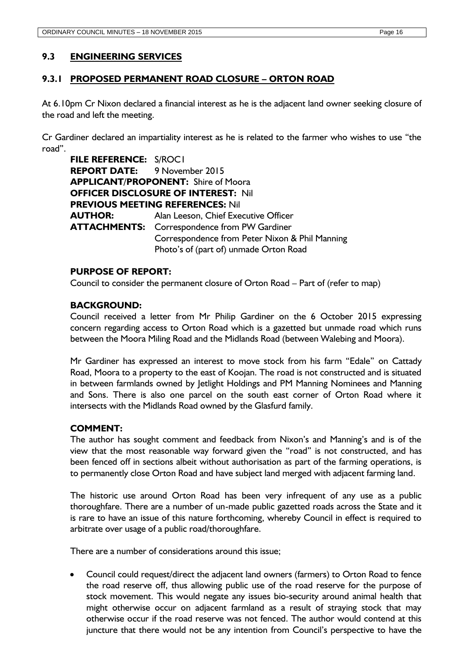### <span id="page-15-0"></span>**9.3 ENGINEERING SERVICES**

### <span id="page-15-1"></span>**9.3.1 PROPOSED PERMANENT ROAD CLOSURE – ORTON ROAD**

At 6.10pm Cr Nixon declared a financial interest as he is the adjacent land owner seeking closure of the road and left the meeting.

Cr Gardiner declared an impartiality interest as he is related to the farmer who wishes to use "the road".

**FILE REFERENCE:** S/ROC1 **REPORT DATE:** 9 November 2015 **APPLICANT/PROPONENT:** Shire of Moora **OFFICER DISCLOSURE OF INTEREST:** Nil **PREVIOUS MEETING REFERENCES:** Nil **AUTHOR:** Alan Leeson, Chief Executive Officer **ATTACHMENTS:** Correspondence from PW Gardiner Correspondence from Peter Nixon & Phil Manning Photo's of (part of) unmade Orton Road

#### **PURPOSE OF REPORT:**

Council to consider the permanent closure of Orton Road – Part of (refer to map)

### **BACKGROUND:**

Council received a letter from Mr Philip Gardiner on the 6 October 2015 expressing concern regarding access to Orton Road which is a gazetted but unmade road which runs between the Moora Miling Road and the Midlands Road (between Walebing and Moora).

Mr Gardiner has expressed an interest to move stock from his farm "Edale" on Cattady Road, Moora to a property to the east of Koojan. The road is not constructed and is situated in between farmlands owned by Jetlight Holdings and PM Manning Nominees and Manning and Sons. There is also one parcel on the south east corner of Orton Road where it intersects with the Midlands Road owned by the Glasfurd family.

#### **COMMENT:**

The author has sought comment and feedback from Nixon's and Manning's and is of the view that the most reasonable way forward given the "road" is not constructed, and has been fenced off in sections albeit without authorisation as part of the farming operations, is to permanently close Orton Road and have subject land merged with adjacent farming land.

The historic use around Orton Road has been very infrequent of any use as a public thoroughfare. There are a number of un-made public gazetted roads across the State and it is rare to have an issue of this nature forthcoming, whereby Council in effect is required to arbitrate over usage of a public road/thoroughfare.

There are a number of considerations around this issue;

 Council could request/direct the adjacent land owners (farmers) to Orton Road to fence the road reserve off, thus allowing public use of the road reserve for the purpose of stock movement. This would negate any issues bio-security around animal health that might otherwise occur on adjacent farmland as a result of straying stock that may otherwise occur if the road reserve was not fenced. The author would contend at this juncture that there would not be any intention from Council's perspective to have the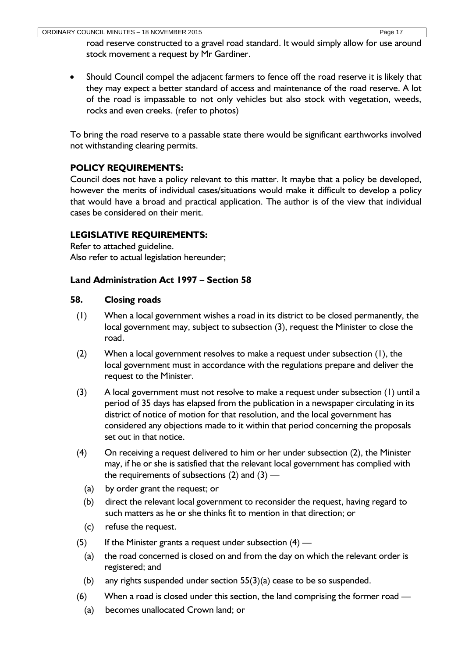road reserve constructed to a gravel road standard. It would simply allow for use around stock movement a request by Mr Gardiner.

• Should Council compel the adjacent farmers to fence off the road reserve it is likely that they may expect a better standard of access and maintenance of the road reserve. A lot of the road is impassable to not only vehicles but also stock with vegetation, weeds, rocks and even creeks. (refer to photos)

To bring the road reserve to a passable state there would be significant earthworks involved not withstanding clearing permits.

# **POLICY REQUIREMENTS:**

Council does not have a policy relevant to this matter. It maybe that a policy be developed, however the merits of individual cases/situations would make it difficult to develop a policy that would have a broad and practical application. The author is of the view that individual cases be considered on their merit.

# **LEGISLATIVE REQUIREMENTS:**

Refer to attached guideline. Also refer to actual legislation hereunder;

# **Land Administration Act 1997 – Section 58**

# **58. Closing roads**

- (1) When a local government wishes a road in its district to be closed permanently, the local government may, subject to subsection (3), request the Minister to close the road.
- (2) When a local government resolves to make a request under subsection (1), the local government must in accordance with the regulations prepare and deliver the request to the Minister.
- (3) A local government must not resolve to make a request under subsection (1) until a period of 35 days has elapsed from the publication in a newspaper circulating in its district of notice of motion for that resolution, and the local government has considered any objections made to it within that period concerning the proposals set out in that notice.
- (4) On receiving a request delivered to him or her under subsection (2), the Minister may, if he or she is satisfied that the relevant local government has complied with the requirements of subsections  $(2)$  and  $(3)$  —
	- (a) by order grant the request; or
	- (b) direct the relevant local government to reconsider the request, having regard to such matters as he or she thinks fit to mention in that direction; or
	- (c) refuse the request.
- (5) If the Minister grants a request under subsection  $(4)$ 
	- (a) the road concerned is closed on and from the day on which the relevant order is registered; and
	- (b) any rights suspended under section  $55(3)(a)$  cease to be so suspended.
- (6) When a road is closed under this section, the land comprising the former road
	- (a) becomes unallocated Crown land; or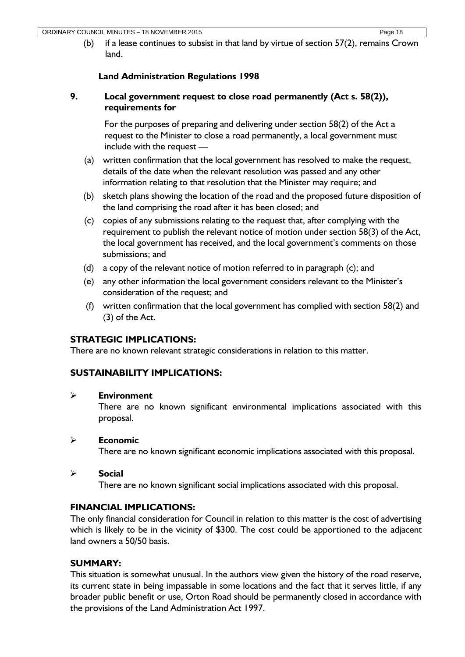(b) if a lease continues to subsist in that land by virtue of section 57(2), remains Crown land.

# **Land Administration Regulations 1998**

## **9. Local government request to close road permanently (Act s. 58(2)), requirements for**

For the purposes of preparing and delivering under section 58(2) of the Act a request to the Minister to close a road permanently, a local government must include with the request —

- (a) written confirmation that the local government has resolved to make the request, details of the date when the relevant resolution was passed and any other information relating to that resolution that the Minister may require; and
- (b) sketch plans showing the location of the road and the proposed future disposition of the land comprising the road after it has been closed; and
- (c) copies of any submissions relating to the request that, after complying with the requirement to publish the relevant notice of motion under section 58(3) of the Act, the local government has received, and the local government's comments on those submissions; and
- (d) a copy of the relevant notice of motion referred to in paragraph (c); and
- (e) any other information the local government considers relevant to the Minister's consideration of the request; and
- (f) written confirmation that the local government has complied with section 58(2) and (3) of the Act.

# **STRATEGIC IMPLICATIONS:**

There are no known relevant strategic considerations in relation to this matter.

# **SUSTAINABILITY IMPLICATIONS:**

### **Environment**

There are no known significant environmental implications associated with this proposal.

### **Economic**

There are no known significant economic implications associated with this proposal.

### **Social**

There are no known significant social implications associated with this proposal.

## **FINANCIAL IMPLICATIONS:**

The only financial consideration for Council in relation to this matter is the cost of advertising which is likely to be in the vicinity of \$300. The cost could be apportioned to the adjacent land owners a 50/50 basis.

## **SUMMARY:**

This situation is somewhat unusual. In the authors view given the history of the road reserve, its current state in being impassable in some locations and the fact that it serves little, if any broader public benefit or use, Orton Road should be permanently closed in accordance with the provisions of the Land Administration Act 1997.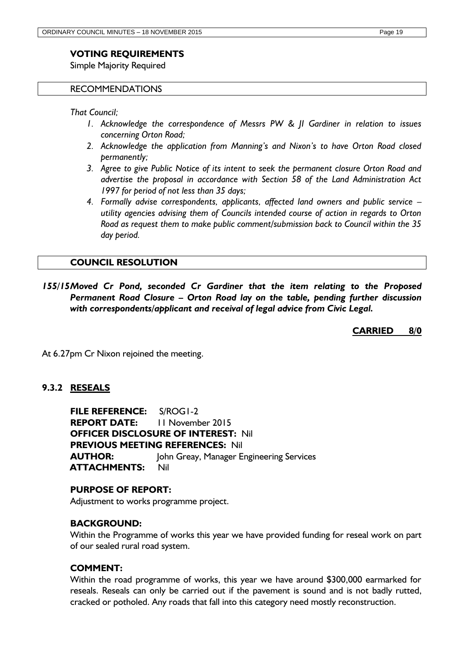### **VOTING REQUIREMENTS**

Simple Majority Required

#### RECOMMENDATIONS

*That Council;*

- *1. Acknowledge the correspondence of Messrs PW & JI Gardiner in relation to issues concerning Orton Road;*
- *2. Acknowledge the application from Manning's and Nixon's to have Orton Road closed permanently;*
- *3. Agree to give Public Notice of its intent to seek the permanent closure Orton Road and advertise the proposal in accordance with Section 58 of the Land Administration Act 1997 for period of not less than 35 days;*
- *4. Formally advise correspondents, applicants, affected land owners and public service – utility agencies advising them of Councils intended course of action in regards to Orton Road as request them to make public comment/submission back to Council within the 35 day period.*

#### **COUNCIL RESOLUTION**

*155/15Moved Cr Pond, seconded Cr Gardiner that the item relating to the Proposed Permanent Road Closure – Orton Road lay on the table, pending further discussion with correspondents/applicant and receival of legal advice from Civic Legal.*

**CARRIED 8/0**

At 6.27pm Cr Nixon rejoined the meeting.

### <span id="page-18-0"></span>**9.3.2 RESEALS**

**FILE REFERENCE:** S/ROG1-2 **REPORT DATE:** 11 November 2015 **OFFICER DISCLOSURE OF INTEREST:** Nil **PREVIOUS MEETING REFERENCES:** Nil **AUTHOR:** John Greay, Manager Engineering Services **ATTACHMENTS:** Nil

#### **PURPOSE OF REPORT:**

Adjustment to works programme project.

#### **BACKGROUND:**

Within the Programme of works this year we have provided funding for reseal work on part of our sealed rural road system.

#### **COMMENT:**

Within the road programme of works, this year we have around \$300,000 earmarked for reseals. Reseals can only be carried out if the pavement is sound and is not badly rutted, cracked or potholed. Any roads that fall into this category need mostly reconstruction.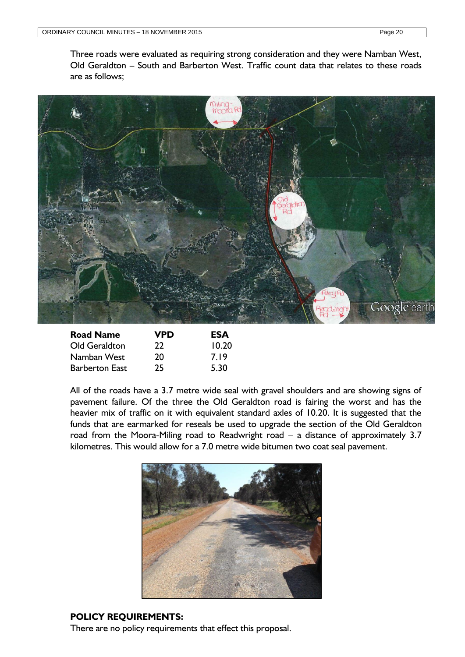Three roads were evaluated as requiring strong consideration and they were Namban West, Old Geraldton – South and Barberton West. Traffic count data that relates to these roads are as follows;



| <b>Road Name</b>      | VPD | ESA   |
|-----------------------|-----|-------|
| Old Geraldton         | 22  | 10.20 |
| Namban West           | 20  | 7.19  |
| <b>Barberton East</b> | 25  | 5.30  |

All of the roads have a 3.7 metre wide seal with gravel shoulders and are showing signs of pavement failure. Of the three the Old Geraldton road is fairing the worst and has the heavier mix of traffic on it with equivalent standard axles of 10.20. It is suggested that the funds that are earmarked for reseals be used to upgrade the section of the Old Geraldton road from the Moora-Miling road to Readwright road – a distance of approximately 3.7 kilometres. This would allow for a 7.0 metre wide bitumen two coat seal pavement.



### **POLICY REQUIREMENTS:**

There are no policy requirements that effect this proposal.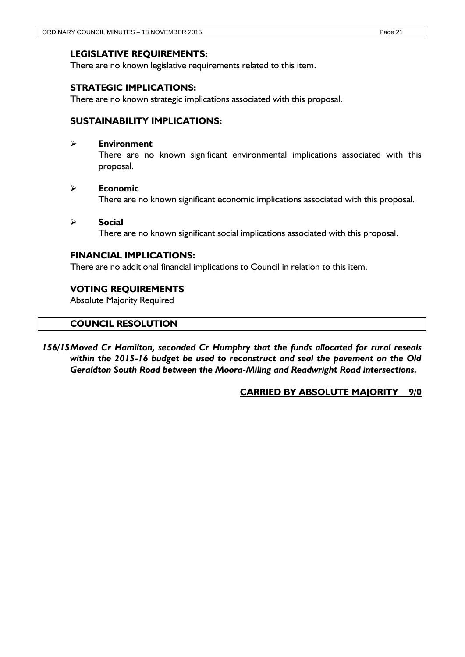### **LEGISLATIVE REQUIREMENTS:**

There are no known legislative requirements related to this item.

### **STRATEGIC IMPLICATIONS:**

There are no known strategic implications associated with this proposal.

### **SUSTAINABILITY IMPLICATIONS:**

### **Environment**

There are no known significant environmental implications associated with this proposal.

#### **Economic**

There are no known significant economic implications associated with this proposal.

#### **Social**

There are no known significant social implications associated with this proposal.

### **FINANCIAL IMPLICATIONS:**

There are no additional financial implications to Council in relation to this item.

### **VOTING REQUIREMENTS**

Absolute Majority Required

### **COUNCIL RESOLUTION**

*156/15Moved Cr Hamilton, seconded Cr Humphry that the funds allocated for rural reseals within the 2015-16 budget be used to reconstruct and seal the pavement on the Old Geraldton South Road between the Moora-Miling and Readwright Road intersections.*

### **CARRIED BY ABSOLUTE MAJORITY 9/0**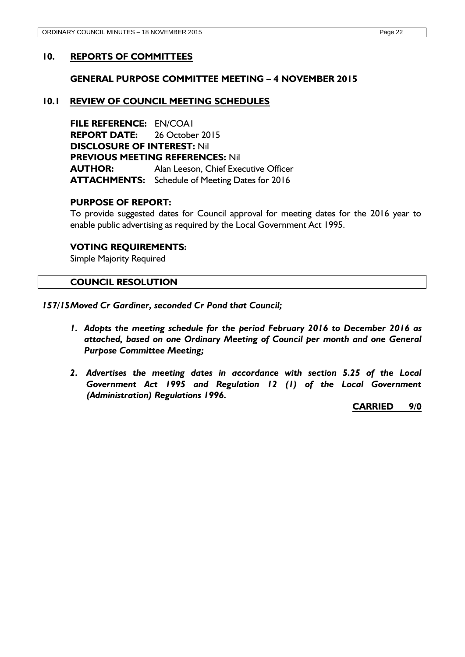### <span id="page-21-0"></span>**10. REPORTS OF COMMITTEES**

#### <span id="page-21-1"></span>**GENERAL PURPOSE COMMITTEE MEETING – 4 NOVEMBER 2015**

#### <span id="page-21-2"></span>**10.1 REVIEW OF COUNCIL MEETING SCHEDULES**

**FILE REFERENCE:** EN/COA1 **REPORT DATE:** 26 October 2015 **DISCLOSURE OF INTEREST:** Nil **PREVIOUS MEETING REFERENCES:** Nil **AUTHOR:** Alan Leeson, Chief Executive Officer **ATTACHMENTS:** Schedule of Meeting Dates for 2016

#### **PURPOSE OF REPORT:**

To provide suggested dates for Council approval for meeting dates for the 2016 year to enable public advertising as required by the Local Government Act 1995.

#### **VOTING REQUIREMENTS:**

Simple Majority Required

#### **COUNCIL RESOLUTION**

*157/15Moved Cr Gardiner, seconded Cr Pond that Council;*

- *1. Adopts the meeting schedule for the period February 2016 to December 2016 as attached, based on one Ordinary Meeting of Council per month and one General Purpose Committee Meeting;*
- *2. Advertises the meeting dates in accordance with section 5.25 of the Local Government Act 1995 and Regulation 12 (1) of the Local Government (Administration) Regulations 1996.*

**CARRIED 9/0**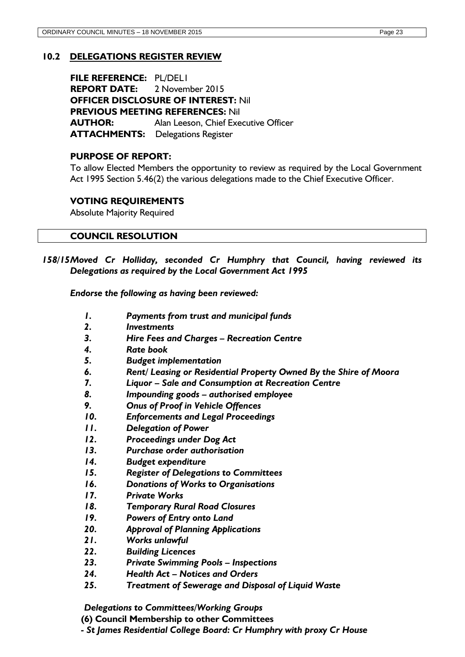# <span id="page-22-0"></span>**10.2 DELEGATIONS REGISTER REVIEW**

**FILE REFERENCE:** PL/DEL1 **REPORT DATE:** 2 November 2015 **OFFICER DISCLOSURE OF INTEREST:** Nil **PREVIOUS MEETING REFERENCES:** Nil **AUTHOR:** Alan Leeson, Chief Executive Officer **ATTACHMENTS:** Delegations Register

### **PURPOSE OF REPORT:**

To allow Elected Members the opportunity to review as required by the Local Government Act 1995 Section 5.46(2) the various delegations made to the Chief Executive Officer.

## **VOTING REQUIREMENTS**

Absolute Majority Required

### **COUNCIL RESOLUTION**

*158/15Moved Cr Holliday, seconded Cr Humphry that Council, having reviewed its Delegations as required by the Local Government Act 1995*

*Endorse the following as having been reviewed:*

- *1. Payments from trust and municipal funds*
- *2. Investments*
- *3. Hire Fees and Charges – Recreation Centre*
- *4. Rate book*
- *5. Budget implementation*
- *6. Rent/ Leasing or Residential Property Owned By the Shire of Moora*
- *7. Liquor – Sale and Consumption at Recreation Centre*
- *8. Impounding goods – authorised employee*
- *9. Onus of Proof in Vehicle Offences*
- *10. Enforcements and Legal Proceedings*
- *11. Delegation of Power*
- *12. Proceedings under Dog Act*
- *13. Purchase order authorisation*
- *14. Budget expenditure*
- *15. Register of Delegations to Committees*
- *16. Donations of Works to Organisations*
- *17. Private Works*
- *18. Temporary Rural Road Closures*
- *19. Powers of Entry onto Land*
- *20. Approval of Planning Applications*
- *21. Works unlawful*
- *22. Building Licences*
- *23. Private Swimming Pools – Inspections*
- *24. Health Act – Notices and Orders*
- *25. Treatment of Sewerage and Disposal of Liquid Waste*

*Delegations to Committees/Working Groups* 

**(6) Council Membership to other Committees** 

*- St James Residential College Board: Cr Humphry with proxy Cr House*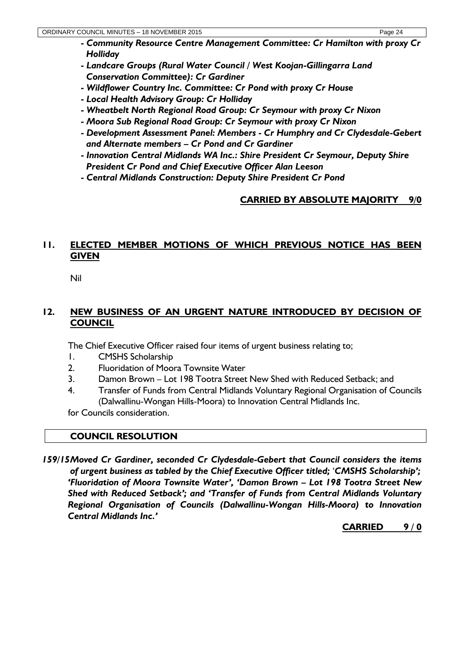- *- Community Resource Centre Management Committee: Cr Hamilton with proxy Cr Holliday*
- *- Landcare Groups (Rural Water Council / West Koojan-Gillingarra Land Conservation Committee): Cr Gardiner*
- *- Wildflower Country Inc. Committee: Cr Pond with proxy Cr House*
- *- Local Health Advisory Group: Cr Holliday*
- *- Wheatbelt North Regional Road Group: Cr Seymour with proxy Cr Nixon*
- *- Moora Sub Regional Road Group: Cr Seymour with proxy Cr Nixon*
- *- Development Assessment Panel: Members - Cr Humphry and Cr Clydesdale-Gebert and Alternate members – Cr Pond and Cr Gardiner*
- *- Innovation Central Midlands WA Inc.: Shire President Cr Seymour, Deputy Shire President Cr Pond and Chief Executive Officer Alan Leeson*
- *- Central Midlands Construction: Deputy Shire President Cr Pond*

# **CARRIED BY ABSOLUTE MAJORITY 9/0**

# <span id="page-23-0"></span>**11. ELECTED MEMBER MOTIONS OF WHICH PREVIOUS NOTICE HAS BEEN GIVEN**

Nil

# <span id="page-23-1"></span>**12. NEW BUSINESS OF AN URGENT NATURE INTRODUCED BY DECISION OF COUNCIL**

The Chief Executive Officer raised four items of urgent business relating to;

- 1. CMSHS Scholarship
- 2. Fluoridation of Moora Townsite Water
- 3. Damon Brown Lot 198 Tootra Street New Shed with Reduced Setback; and
- 4. Transfer of Funds from Central Midlands Voluntary Regional Organisation of Councils (Dalwallinu-Wongan Hills-Moora) to Innovation Central Midlands Inc.

for Councils consideration.

# **COUNCIL RESOLUTION**

*159/15Moved Cr Gardiner, seconded Cr Clydesdale-Gebert that Council considers the items of urgent business as tabled by the Chief Executive Officer titled;* '*CMSHS Scholarship'; 'Fluoridation of Moora Townsite Water', 'Damon Brown – Lot 198 Tootra Street New Shed with Reduced Setback'; and 'Transfer of Funds from Central Midlands Voluntary Regional Organisation of Councils (Dalwallinu-Wongan Hills-Moora) to Innovation Central Midlands Inc.'*

**CARRIED 9 / 0**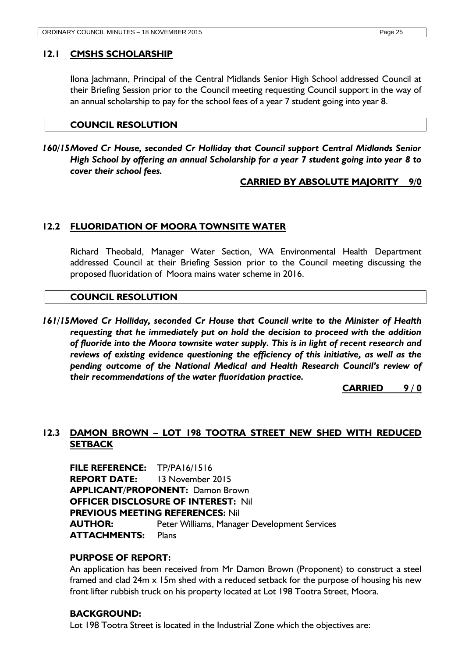### <span id="page-24-0"></span>**12.1 CMSHS SCHOLARSHIP**

Ilona Jachmann, Principal of the Central Midlands Senior High School addressed Council at their Briefing Session prior to the Council meeting requesting Council support in the way of an annual scholarship to pay for the school fees of a year 7 student going into year 8.

### **COUNCIL RESOLUTION**

*160/15Moved Cr House, seconded Cr Holliday that Council support Central Midlands Senior High School by offering an annual Scholarship for a year 7 student going into year 8 to cover their school fees.*

### **CARRIED BY ABSOLUTE MAJORITY 9/0**

# <span id="page-24-1"></span>**12.2 FLUORIDATION OF MOORA TOWNSITE WATER**

Richard Theobald, Manager Water Section, WA Environmental Health Department addressed Council at their Briefing Session prior to the Council meeting discussing the proposed fluoridation of Moora mains water scheme in 2016.

### **COUNCIL RESOLUTION**

*161/15Moved Cr Holliday, seconded Cr House that Council write to the Minister of Health requesting that he immediately put on hold the decision to proceed with the addition of fluoride into the Moora townsite water supply. This is in light of recent research and reviews of existing evidence questioning the efficiency of this initiative, as well as the pending outcome of the National Medical and Health Research Council's review of their recommendations of the water fluoridation practice.*

**CARRIED 9 / 0**

# <span id="page-24-2"></span>**12.3 DAMON BROWN – LOT 198 TOOTRA STREET NEW SHED WITH REDUCED SETBACK**

**FILE REFERENCE:** TP/PA16/1516 **REPORT DATE:** 13 November 2015 **APPLICANT/PROPONENT:** Damon Brown **OFFICER DISCLOSURE OF INTEREST:** Nil **PREVIOUS MEETING REFERENCES:** Nil **AUTHOR:** Peter Williams, Manager Development Services **ATTACHMENTS:** Plans

### **PURPOSE OF REPORT:**

An application has been received from Mr Damon Brown (Proponent) to construct a steel framed and clad 24m x 15m shed with a reduced setback for the purpose of housing his new front lifter rubbish truck on his property located at Lot 198 Tootra Street, Moora.

### **BACKGROUND:**

Lot 198 Tootra Street is located in the Industrial Zone which the objectives are: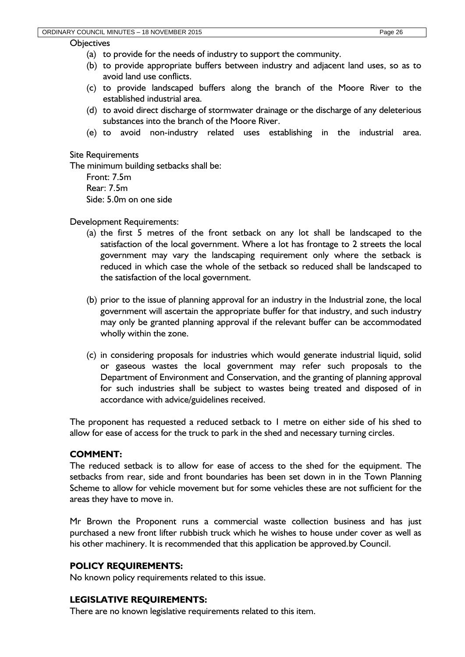#### **Objectives**

- (b) to provide appropriate buffers between industry and adjacent land uses, so as to avoid land use conflicts.
- (c) to provide landscaped buffers along the branch of the Moore River to the established industrial area.
- (d) to avoid direct discharge of stormwater drainage or the discharge of any deleterious substances into the branch of the Moore River.
- (e) to avoid non-industry related uses establishing in the industrial area.

Site Requirements

The minimum building setbacks shall be:

Front: 7.5m Rear: 7.5m Side: 5.0m on one side

Development Requirements:

- (a) the first 5 metres of the front setback on any lot shall be landscaped to the satisfaction of the local government. Where a lot has frontage to 2 streets the local government may vary the landscaping requirement only where the setback is reduced in which case the whole of the setback so reduced shall be landscaped to the satisfaction of the local government.
- (b) prior to the issue of planning approval for an industry in the Industrial zone, the local government will ascertain the appropriate buffer for that industry, and such industry may only be granted planning approval if the relevant buffer can be accommodated wholly within the zone.
- (c) in considering proposals for industries which would generate industrial liquid, solid or gaseous wastes the local government may refer such proposals to the Department of Environment and Conservation, and the granting of planning approval for such industries shall be subject to wastes being treated and disposed of in accordance with advice/guidelines received.

The proponent has requested a reduced setback to 1 metre on either side of his shed to allow for ease of access for the truck to park in the shed and necessary turning circles.

## **COMMENT:**

The reduced setback is to allow for ease of access to the shed for the equipment. The setbacks from rear, side and front boundaries has been set down in in the Town Planning Scheme to allow for vehicle movement but for some vehicles these are not sufficient for the areas they have to move in.

Mr Brown the Proponent runs a commercial waste collection business and has just purchased a new front lifter rubbish truck which he wishes to house under cover as well as his other machinery. It is recommended that this application be approved.by Council.

## **POLICY REQUIREMENTS:**

No known policy requirements related to this issue.

### **LEGISLATIVE REQUIREMENTS:**

There are no known legislative requirements related to this item.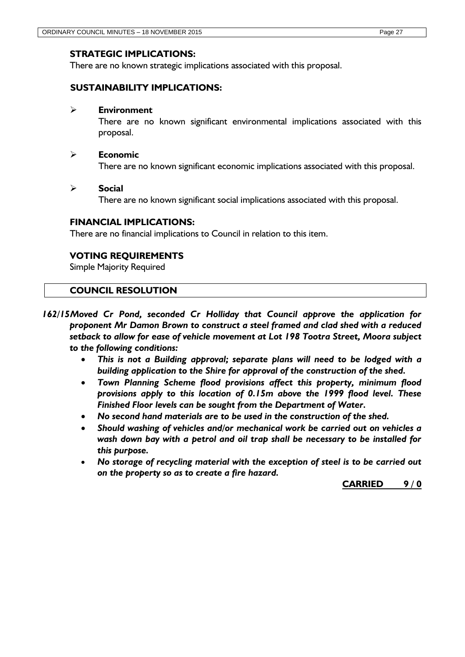### **STRATEGIC IMPLICATIONS:**

There are no known strategic implications associated with this proposal.

### **SUSTAINABILITY IMPLICATIONS:**

#### **Environment**

There are no known significant environmental implications associated with this proposal.

#### **Economic**

There are no known significant economic implications associated with this proposal.

#### **Social**

There are no known significant social implications associated with this proposal.

### **FINANCIAL IMPLICATIONS:**

There are no financial implications to Council in relation to this item.

### **VOTING REQUIREMENTS**

Simple Majority Required

### **COUNCIL RESOLUTION**

*162/15Moved Cr Pond, seconded Cr Holliday that Council approve the application for proponent Mr Damon Brown to construct a steel framed and clad shed with a reduced setback to allow for ease of vehicle movement at Lot 198 Tootra Street, Moora subject to the following conditions:*

- *This is not a Building approval; separate plans will need to be lodged with a building application to the Shire for approval of the construction of the shed.*
- *Town Planning Scheme flood provisions affect this property, minimum flood provisions apply to this location of 0.15m above the 1999 flood level. These Finished Floor levels can be sought from the Department of Water.*
- *No second hand materials are to be used in the construction of the shed.*
- *Should washing of vehicles and/or mechanical work be carried out on vehicles a wash down bay with a petrol and oil trap shall be necessary to be installed for this purpose.*
- *No storage of recycling material with the exception of steel is to be carried out on the property so as to create a fire hazard.*

**CARRIED 9 / 0**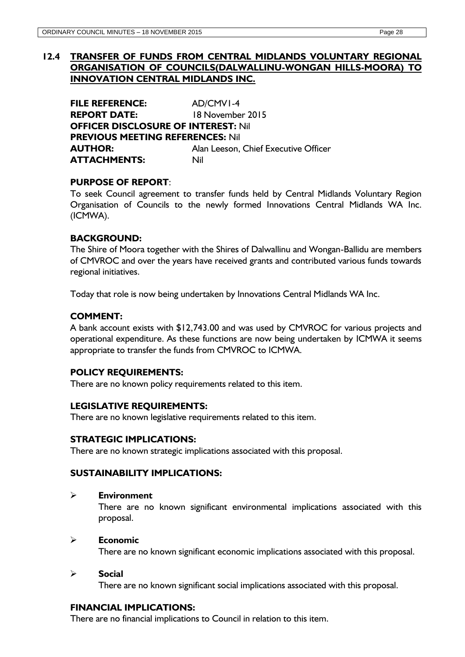### <span id="page-27-0"></span>**12.4 TRANSFER OF FUNDS FROM CENTRAL MIDLANDS VOLUNTARY REGIONAL ORGANISATION OF COUNCILS(DALWALLINU-WONGAN HILLS-MOORA) TO INNOVATION CENTRAL MIDLANDS INC.**

**FILE REFERENCE:** AD/CMV1-4 **REPORT DATE:** 18 November 2015 **OFFICER DISCLOSURE OF INTEREST:** Nil **PREVIOUS MEETING REFERENCES:** Nil **AUTHOR:** Alan Leeson, Chief Executive Officer **ATTACHMENTS:** Nil

## **PURPOSE OF REPORT**:

To seek Council agreement to transfer funds held by Central Midlands Voluntary Region Organisation of Councils to the newly formed Innovations Central Midlands WA Inc. (ICMWA).

### **BACKGROUND:**

The Shire of Moora together with the Shires of Dalwallinu and Wongan-Ballidu are members of CMVROC and over the years have received grants and contributed various funds towards regional initiatives.

Today that role is now being undertaken by Innovations Central Midlands WA Inc.

### **COMMENT:**

A bank account exists with \$12,743.00 and was used by CMVROC for various projects and operational expenditure. As these functions are now being undertaken by ICMWA it seems appropriate to transfer the funds from CMVROC to ICMWA.

## **POLICY REQUIREMENTS:**

There are no known policy requirements related to this item.

### **LEGISLATIVE REQUIREMENTS:**

There are no known legislative requirements related to this item.

## **STRATEGIC IMPLICATIONS:**

There are no known strategic implications associated with this proposal.

### **SUSTAINABILITY IMPLICATIONS:**

### **Environment**

There are no known significant environmental implications associated with this proposal.

### **Economic**

There are no known significant economic implications associated with this proposal.

### **Social**

There are no known significant social implications associated with this proposal.

### **FINANCIAL IMPLICATIONS:**

There are no financial implications to Council in relation to this item.